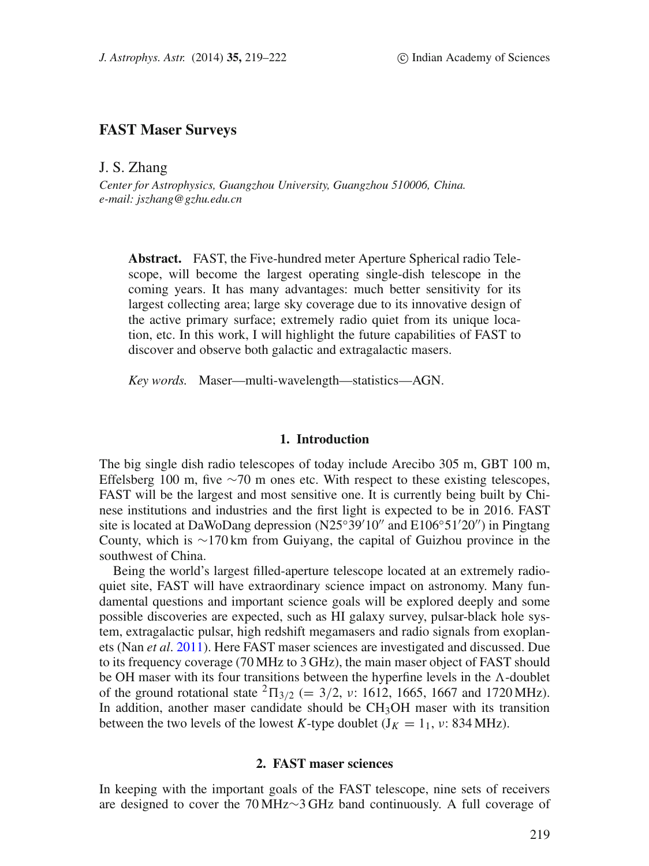# **FAST Maser Surveys**

J. S. Zhang

*Center for Astrophysics, Guangzhou University, Guangzhou 510006, China. e-mail: jszhang@gzhu.edu.cn*

**Abstract.** FAST, the Five-hundred meter Aperture Spherical radio Telescope, will become the largest operating single-dish telescope in the coming years. It has many advantages: much better sensitivity for its largest collecting area; large sky coverage due to its innovative design of the active primary surface; extremely radio quiet from its unique location, etc. In this work, I will highlight the future capabilities of FAST to discover and observe both galactic and extragalactic masers.

*Key words.* Maser—multi-wavelength—statistics—AGN.

# **1. Introduction**

The big single dish radio telescopes of today include Arecibo 305 m, GBT 100 m, Effelsberg 100 m, five  $\sim$ 70 m ones etc. With respect to these existing telescopes, FAST will be the largest and most sensitive one. It is currently being built by Chinese institutions and industries and the first light is expected to be in 2016. FAST site is located at DaWoDang depression (N25<sup>°39'10"</sup> and E106°51'20") in Pingtang County, which is ∼170 km from Guiyang, the capital of Guizhou province in the southwest of China.

Being the world's largest filled-aperture telescope located at an extremely radioquiet site, FAST will have extraordinary science impact on astronomy. Many fundamental questions and important science goals will be explored deeply and some possible discoveries are expected, such as HI galaxy survey, pulsar-black hole system, extragalactic pulsar, high redshift megamasers and radio signals from exoplanets (Nan *et al*. [2011\)](#page-3-0). Here FAST maser sciences are investigated and discussed. Due to its frequency coverage (70 MHz to 3 GHz), the main maser object of FAST should be OH maser with its four transitions between the hyperfine levels in the  $\Lambda$ -doublet of the ground rotational state  ${}^{2}$   $\Pi_{3/2}$  (= 3/2, v: 1612, 1665, 1667 and 1720 MHz). In addition, another maser candidate should be  $CH<sub>3</sub>OH$  maser with its transition between the two levels of the lowest *K*-type doublet  $(J_K = 1_1, \nu: 834 \text{ MHz})$ .

# **2. FAST maser sciences**

In keeping with the important goals of the FAST telescope, nine sets of receivers are designed to cover the 70 MHz∼3 GHz band continuously. A full coverage of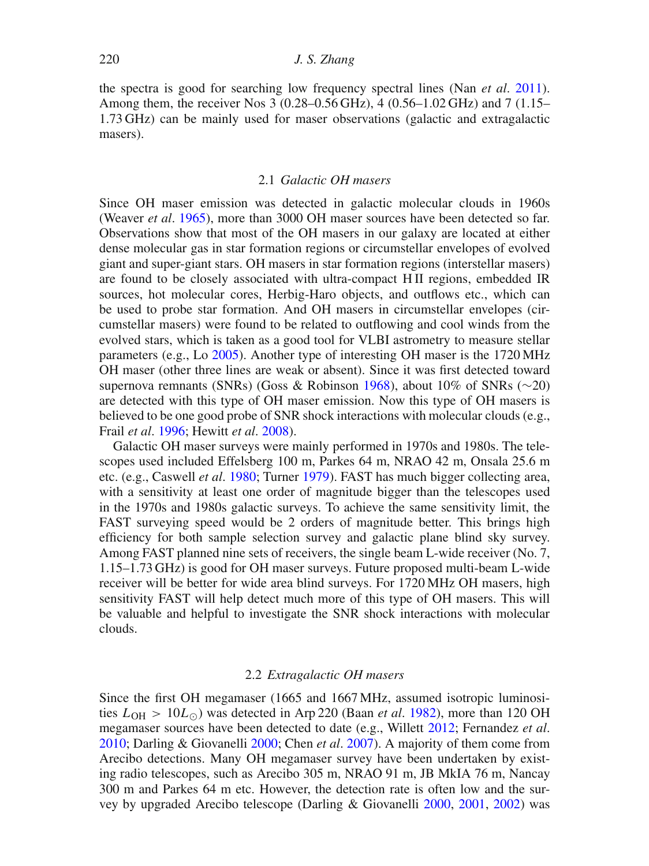the spectra is good for searching low frequency spectral lines (Nan *et al*. [2011\)](#page-3-0). Among them, the receiver Nos 3 (0.28–0.56 GHz), 4 (0.56–1.02 GHz) and 7 (1.15– 1.73 GHz) can be mainly used for maser observations (galactic and extragalactic masers).

## 2.1 *Galactic OH masers*

Since OH maser emission was detected in galactic molecular clouds in 1960s (Weaver *et al*. [1965\)](#page-3-1), more than 3000 OH maser sources have been detected so far. Observations show that most of the OH masers in our galaxy are located at either dense molecular gas in star formation regions or circumstellar envelopes of evolved giant and super-giant stars. OH masers in star formation regions (interstellar masers) are found to be closely associated with ultra-compact H II regions, embedded IR sources, hot molecular cores, Herbig-Haro objects, and outflows etc., which can be used to probe star formation. And OH masers in circumstellar envelopes (circumstellar masers) were found to be related to outflowing and cool winds from the evolved stars, which is taken as a good tool for VLBI astrometry to measure stellar parameters (e.g., Lo [2005\)](#page-3-2). Another type of interesting OH maser is the 1720 MHz OH maser (other three lines are weak or absent). Since it was first detected toward supernova remnants (SNRs) (Goss & Robinson [1968\)](#page-3-3), about 10% of SNRs (∼20) are detected with this type of OH maser emission. Now this type of OH masers is believed to be one good probe of SNR shock interactions with molecular clouds (e.g., Frail *et al*. [1996;](#page-3-4) Hewitt *et al*. [2008\)](#page-3-5).

Galactic OH maser surveys were mainly performed in 1970s and 1980s. The telescopes used included Effelsberg 100 m, Parkes 64 m, NRAO 42 m, Onsala 25.6 m etc. (e.g., Caswell *et al*. [1980;](#page-3-6) Turner [1979\)](#page-3-7). FAST has much bigger collecting area, with a sensitivity at least one order of magnitude bigger than the telescopes used in the 1970s and 1980s galactic surveys. To achieve the same sensitivity limit, the FAST surveying speed would be 2 orders of magnitude better. This brings high efficiency for both sample selection survey and galactic plane blind sky survey. Among FAST planned nine sets of receivers, the single beam L-wide receiver (No. 7, 1.15–1.73 GHz) is good for OH maser surveys. Future proposed multi-beam L-wide receiver will be better for wide area blind surveys. For 1720 MHz OH masers, high sensitivity FAST will help detect much more of this type of OH masers. This will be valuable and helpful to investigate the SNR shock interactions with molecular clouds.

#### 2.2 *Extragalactic OH masers*

Since the first OH megamaser (1665 and 1667 MHz, assumed isotropic luminosities  $L_{OH} > 10L_{\odot}$ ) was detected in Arp 220 (Baan *et al.* [1982\)](#page-3-8), more than 120 OH megamaser sources have been detected to date (e.g., Willett [2012;](#page-3-9) Fernandez *et al*. [2010;](#page-3-10) Darling & Giovanelli [2000;](#page-3-11) Chen *et al*. [2007\)](#page-3-12). A majority of them come from Arecibo detections. Many OH megamaser survey have been undertaken by existing radio telescopes, such as Arecibo 305 m, NRAO 91 m, JB MkIA 76 m, Nancay 300 m and Parkes 64 m etc. However, the detection rate is often low and the survey by upgraded Arecibo telescope (Darling & Giovanelli [2000,](#page-3-11) [2001,](#page-3-13) [2002\)](#page-3-14) was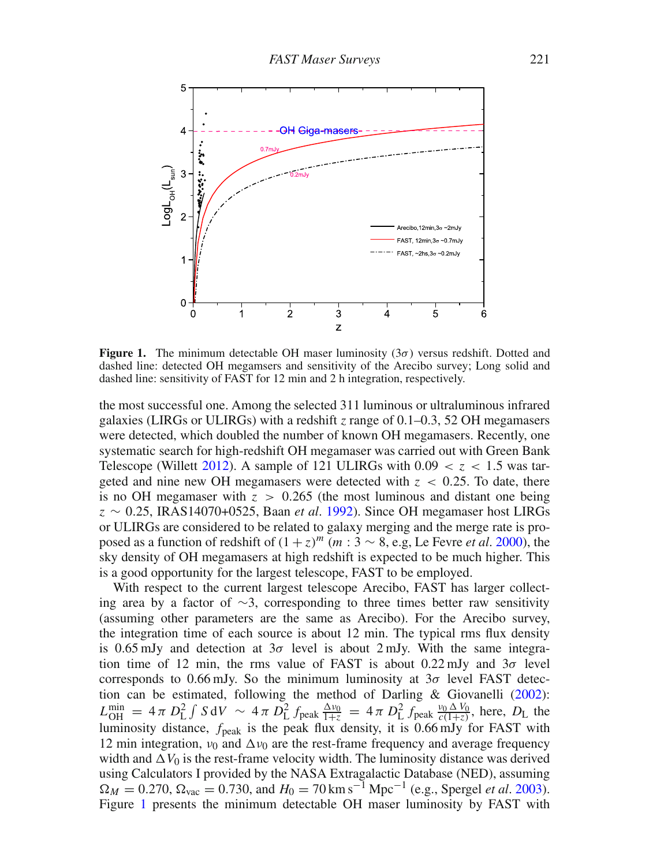<span id="page-2-0"></span>

**Figure 1.** The minimum detectable OH maser luminosity  $(3\sigma)$  versus redshift. Dotted and dashed line: detected OH megamsers and sensitivity of the Arecibo survey; Long solid and dashed line: sensitivity of FAST for 12 min and 2 h integration, respectively.

the most successful one. Among the selected 311 luminous or ultraluminous infrared galaxies (LIRGs or ULIRGs) with a redshift *z* range of 0.1–0.3, 52 OH megamasers were detected, which doubled the number of known OH megamasers. Recently, one systematic search for high-redshift OH megamaser was carried out with Green Bank Telescope (Willett [2012\)](#page-3-9). A sample of 121 ULIRGs with  $0.09 < z < 1.5$  was targeted and nine new OH megamasers were detected with  $z < 0.25$ . To date, there is no OH megamaser with  $z > 0.265$  (the most luminous and distant one being z ∼ 0.25, IRAS14070+0525, Baan *et al*. [1992\)](#page-3-15). Since OH megamaser host LIRGs or ULIRGs are considered to be related to galaxy merging and the merge rate is proposed as a function of redshift of  $(1 + z)^m$  (m : 3 ~ 8, e.g, Le Fevre *et al.* [2000\)](#page-3-16), the sky density of OH megamasers at high redshift is expected to be much higher. This is a good opportunity for the largest telescope, FAST to be employed.

With respect to the current largest telescope Arecibo, FAST has larger collecting area by a factor of ∼3, corresponding to three times better raw sensitivity (assuming other parameters are the same as Arecibo). For the Arecibo survey, the integration time of each source is about 12 min. The typical rms flux density is 0.65 mJy and detection at  $3\sigma$  level is about 2 mJy. With the same integration time of 12 min, the rms value of FAST is about  $0.22 \text{ mJy}$  and  $3\sigma$  level corresponds to 0.66 mJy. So the minimum luminosity at  $3\sigma$  level FAST detection can be estimated, following the method of Darling & Giovanelli [\(2002\)](#page-3-14):  $L_{\text{OH}}^{\text{min}} = 4 \pi D_{\text{L}}^2 \int S dV \sim 4 \pi D_{\text{L}}^2 f_{\text{peak}} \frac{\Delta v_0}{1+z} = 4 \pi D_{\text{L}}^2 f_{\text{peak}} \frac{v_0 \Delta V_0}{c(1+z)}$ , here,  $D_{\text{L}}$  the luminosity distance,  $f_{\text{peak}}$  is the peak flux density, it is 0.66 mJy for FAST with 12 min integration,  $v_0$  and  $\Delta v_0$  are the rest-frame frequency and average frequency width and  $\Delta V_0$  is the rest-frame velocity width. The luminosity distance was derived using Calculators I provided by the NASA Extragalactic Database (NED), assuming  $\Omega_M = 0.270$ ,  $\Omega_{\text{vac}} = 0.730$ , and  $H_0 = 70 \text{ km s}^{-1} \text{ Mpc}^{-1}$  (e.g., Spergel *et al.* [2003\)](#page-3-17). Figure [1](#page-2-0) presents the minimum detectable OH maser luminosity by FAST with